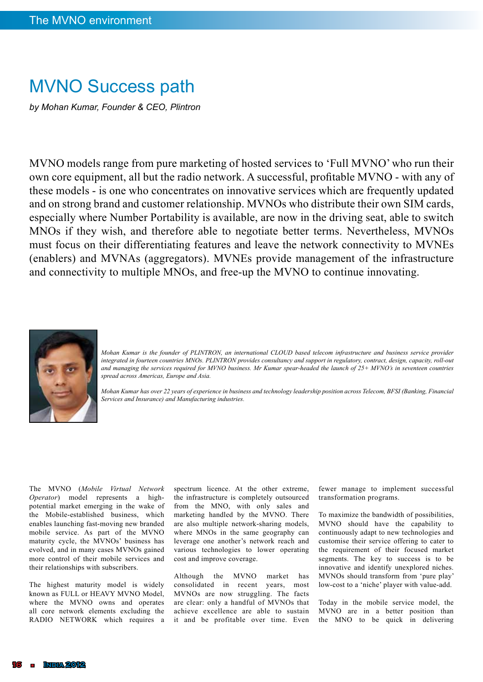## MVNO Success path

*by Mohan Kumar, Founder & CEO, Plintron*

MVNO models range from pure marketing of hosted services to 'Full MVNO' who run their own core equipment, all but the radio network. A successful, profitable MVNO - with any of these models - is one who concentrates on innovative services which are frequently updated and on strong brand and customer relationship. MVNOs who distribute their own SIM cards, especially where Number Portability is available, are now in the driving seat, able to switch MNOs if they wish, and therefore able to negotiate better terms. Nevertheless, MVNOs must focus on their differentiating features and leave the network connectivity to MVNEs (enablers) and MVNAs (aggregators). MVNEs provide management of the infrastructure and connectivity to multiple MNOs, and free-up the MVNO to continue innovating.



*Mohan Kumar is the founder of PLINTRON, an international CLOUD based telecom infrastructure and business service provider integrated in fourteen countries MNOs. PLINTRON provides consultancy and support in regulatory, contract, design, capacity, roll-out and managing the services required for MVNO business. Mr Kumar spear-headed the launch of 25+ MVNO's in seventeen countries spread across Americas, Europe and Asia.* 

*Mohan Kumar has over 22 years of experience in business and technology leadership position across Telecom, BFSI (Banking, Financial Services and Insurance) and Manufacturing industries.*

The MVNO (*Mobile Virtual Network Operator*) model represents a highpotential market emerging in the wake of the Mobile-established business, which enables launching fast-moving new branded mobile service. As part of the MVNO maturity cycle, the MVNOs' business has evolved, and in many cases MVNOs gained more control of their mobile services and their relationships with subscribers.

The highest maturity model is widely known as FULL or HEAVY MVNO Model, where the MVNO owns and operates all core network elements excluding the RADIO NETWORK which requires a

spectrum licence. At the other extreme, the infrastructure is completely outsourced from the MNO, with only sales and marketing handled by the MVNO. There are also multiple network-sharing models, where MNOs in the same geography can leverage one another's network reach and various technologies to lower operating cost and improve coverage.

Although the MVNO market has consolidated in recent years, most MVNOs are now struggling. The facts are clear: only a handful of MVNOs that achieve excellence are able to sustain it and be profitable over time. Even

fewer manage to implement successful transformation programs.

To maximize the bandwidth of possibilities, MVNO should have the capability to continuously adapt to new technologies and customise their service offering to cater to the requirement of their focused market segments. The key to success is to be innovative and identify unexplored niches. MVNOs should transform from 'pure play' low-cost to a 'niche' player with value-add.

Today in the mobile service model, the MVNO are in a better position than the MNO to be quick in delivering